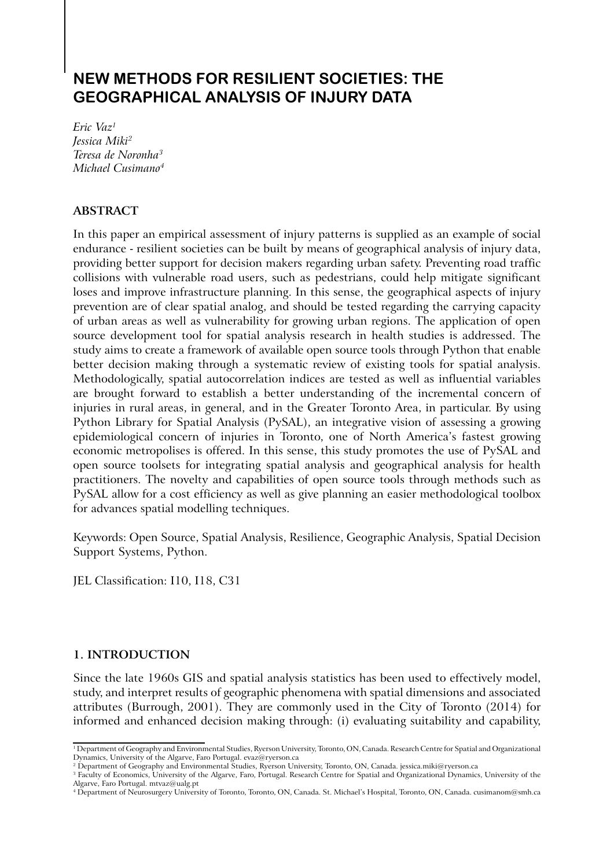# **New methods for resilient societies: The geographical analysis of injury data**

*Eric Vaz1 Jessica Miki2 Teresa de Noronha3 Michael Cusimano4*

# **ABSTRACT**

In this paper an empirical assessment of injury patterns is supplied as an example of social endurance - resilient societies can be built by means of geographical analysis of injury data, providing better support for decision makers regarding urban safety. Preventing road traffic collisions with vulnerable road users, such as pedestrians, could help mitigate significant loses and improve infrastructure planning. In this sense, the geographical aspects of injury prevention are of clear spatial analog, and should be tested regarding the carrying capacity of urban areas as well as vulnerability for growing urban regions. The application of open source development tool for spatial analysis research in health studies is addressed. The study aims to create a framework of available open source tools through Python that enable better decision making through a systematic review of existing tools for spatial analysis. Methodologically, spatial autocorrelation indices are tested as well as influential variables are brought forward to establish a better understanding of the incremental concern of injuries in rural areas, in general, and in the Greater Toronto Area, in particular. By using Python Library for Spatial Analysis (PySAL), an integrative vision of assessing a growing epidemiological concern of injuries in Toronto, one of North America's fastest growing economic metropolises is offered. In this sense, this study promotes the use of PySAL and open source toolsets for integrating spatial analysis and geographical analysis for health practitioners. The novelty and capabilities of open source tools through methods such as PySAL allow for a cost efficiency as well as give planning an easier methodological toolbox for advances spatial modelling techniques.

Keywords: Open Source, Spatial Analysis, Resilience, Geographic Analysis, Spatial Decision Support Systems, Python.

JEL Classification: I10, I18, C31

# **1. Introduction**

Since the late 1960s GIS and spatial analysis statistics has been used to effectively model, study, and interpret results of geographic phenomena with spatial dimensions and associated attributes (Burrough, 2001). They are commonly used in the City of Toronto (2014) for informed and enhanced decision making through: (i) evaluating suitability and capability,

<sup>&</sup>lt;sup>1</sup> Department of Geography and Environmental Studies, Ryerson University, Toronto, ON, Canada. Research Centre for Spatial and Organizational Dynamics, University of the Algarve, Faro Portugal. evaz@ryerson.ca

<sup>2</sup> Department of Geography and Environmental Studies, Ryerson University, Toronto, ON, Canada. jessica.miki@ryerson.ca

<sup>&</sup>lt;sup>3</sup> Faculty of Economics, University of the Algarve, Faro, Portugal. Research Centre for Spatial and Organizational Dynamics, University of the Algarve, Faro Portugal. mtvaz@ualg.pt

<sup>4</sup> Department of Neurosurgery University of Toronto, Toronto, ON, Canada. St. Michael's Hospital, Toronto, ON, Canada. cusimanom@smh.ca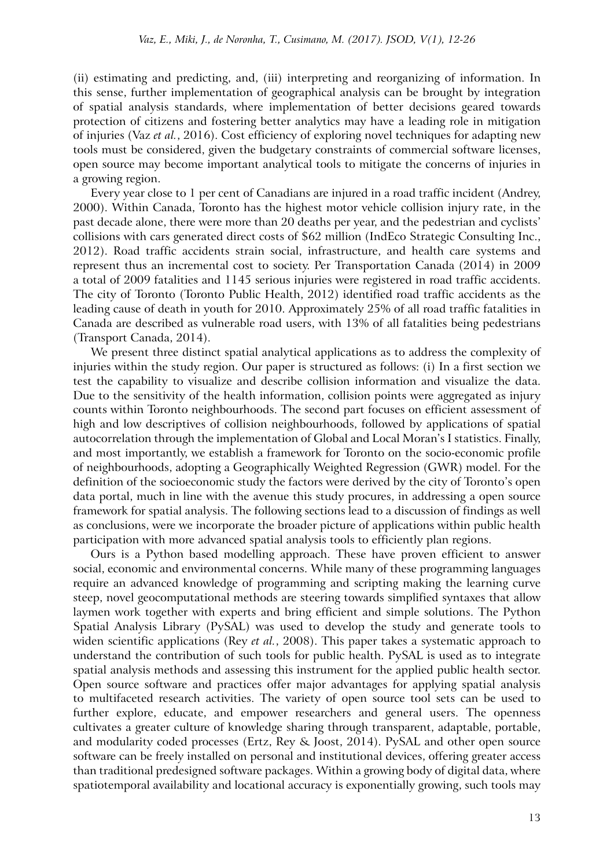(ii) estimating and predicting, and, (iii) interpreting and reorganizing of information. In this sense, further implementation of geographical analysis can be brought by integration of spatial analysis standards, where implementation of better decisions geared towards protection of citizens and fostering better analytics may have a leading role in mitigation of injuries (Vaz *et al.*, 2016). Cost efficiency of exploring novel techniques for adapting new tools must be considered, given the budgetary constraints of commercial software licenses, open source may become important analytical tools to mitigate the concerns of injuries in a growing region.

Every year close to 1 per cent of Canadians are injured in a road traffic incident (Andrey, 2000). Within Canada, Toronto has the highest motor vehicle collision injury rate, in the past decade alone, there were more than 20 deaths per year, and the pedestrian and cyclists' collisions with cars generated direct costs of \$62 million (IndEco Strategic Consulting Inc., 2012). Road traffic accidents strain social, infrastructure, and health care systems and represent thus an incremental cost to society. Per Transportation Canada (2014) in 2009 a total of 2009 fatalities and 1145 serious injuries were registered in road traffic accidents. The city of Toronto (Toronto Public Health, 2012) identified road traffic accidents as the leading cause of death in youth for 2010. Approximately 25% of all road traffic fatalities in Canada are described as vulnerable road users, with 13% of all fatalities being pedestrians (Transport Canada, 2014).

We present three distinct spatial analytical applications as to address the complexity of injuries within the study region. Our paper is structured as follows: (i) In a first section we test the capability to visualize and describe collision information and visualize the data. Due to the sensitivity of the health information, collision points were aggregated as injury counts within Toronto neighbourhoods. The second part focuses on efficient assessment of high and low descriptives of collision neighbourhoods, followed by applications of spatial autocorrelation through the implementation of Global and Local Moran's I statistics. Finally, and most importantly, we establish a framework for Toronto on the socio-economic profile of neighbourhoods, adopting a Geographically Weighted Regression (GWR) model. For the definition of the socioeconomic study the factors were derived by the city of Toronto's open data portal, much in line with the avenue this study procures, in addressing a open source framework for spatial analysis. The following sections lead to a discussion of findings as well as conclusions, were we incorporate the broader picture of applications within public health participation with more advanced spatial analysis tools to efficiently plan regions.

Ours is a Python based modelling approach. These have proven efficient to answer social, economic and environmental concerns. While many of these programming languages require an advanced knowledge of programming and scripting making the learning curve steep, novel geocomputational methods are steering towards simplified syntaxes that allow laymen work together with experts and bring efficient and simple solutions. The Python Spatial Analysis Library (PySAL) was used to develop the study and generate tools to widen scientific applications (Rey *et al.*, 2008). This paper takes a systematic approach to understand the contribution of such tools for public health. PySAL is used as to integrate spatial analysis methods and assessing this instrument for the applied public health sector. Open source software and practices offer major advantages for applying spatial analysis to multifaceted research activities. The variety of open source tool sets can be used to further explore, educate, and empower researchers and general users. The openness cultivates a greater culture of knowledge sharing through transparent, adaptable, portable, and modularity coded processes (Ertz, Rey & Joost, 2014). PySAL and other open source software can be freely installed on personal and institutional devices, offering greater access than traditional predesigned software packages. Within a growing body of digital data, where spatiotemporal availability and locational accuracy is exponentially growing, such tools may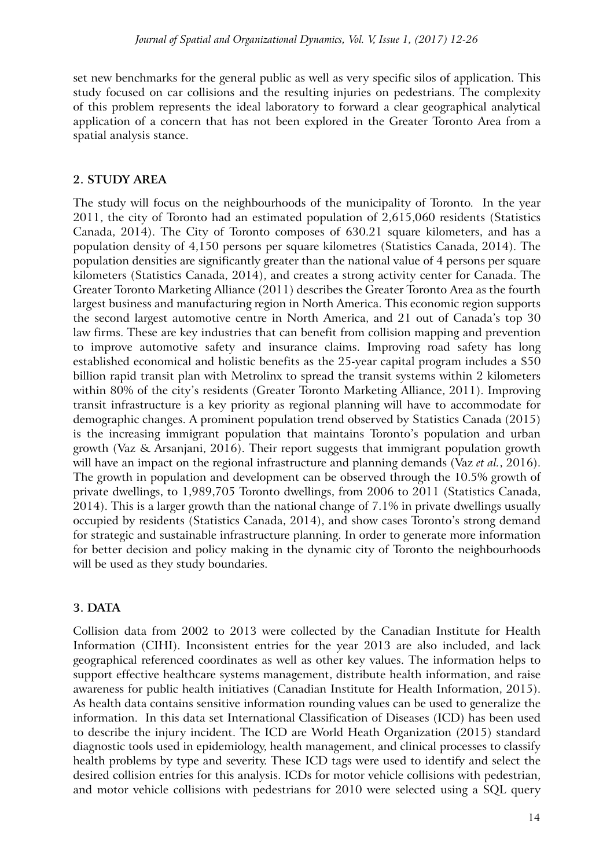set new benchmarks for the general public as well as very specific silos of application. This study focused on car collisions and the resulting injuries on pedestrians. The complexity of this problem represents the ideal laboratory to forward a clear geographical analytical application of a concern that has not been explored in the Greater Toronto Area from a spatial analysis stance.

## **2. Study Area**

The study will focus on the neighbourhoods of the municipality of Toronto. In the year 2011, the city of Toronto had an estimated population of 2,615,060 residents (Statistics Canada, 2014). The City of Toronto composes of 630.21 square kilometers, and has a population density of 4,150 persons per square kilometres (Statistics Canada, 2014). The population densities are significantly greater than the national value of 4 persons per square kilometers (Statistics Canada, 2014), and creates a strong activity center for Canada. The Greater Toronto Marketing Alliance (2011) describes the Greater Toronto Area as the fourth largest business and manufacturing region in North America. This economic region supports the second largest automotive centre in North America, and 21 out of Canada's top 30 law firms. These are key industries that can benefit from collision mapping and prevention to improve automotive safety and insurance claims. Improving road safety has long established economical and holistic benefits as the 25-year capital program includes a \$50 billion rapid transit plan with Metrolinx to spread the transit systems within 2 kilometers within 80% of the city's residents (Greater Toronto Marketing Alliance, 2011). Improving transit infrastructure is a key priority as regional planning will have to accommodate for demographic changes. A prominent population trend observed by Statistics Canada (2015) is the increasing immigrant population that maintains Toronto's population and urban growth (Vaz & Arsanjani, 2016). Their report suggests that immigrant population growth will have an impact on the regional infrastructure and planning demands (Vaz *et al.*, 2016). The growth in population and development can be observed through the 10.5% growth of private dwellings, to 1,989,705 Toronto dwellings, from 2006 to 2011 (Statistics Canada, 2014). This is a larger growth than the national change of 7.1% in private dwellings usually occupied by residents (Statistics Canada, 2014), and show cases Toronto's strong demand for strategic and sustainable infrastructure planning. In order to generate more information for better decision and policy making in the dynamic city of Toronto the neighbourhoods will be used as they study boundaries.

# **3. Data**

Collision data from 2002 to 2013 were collected by the Canadian Institute for Health Information (CIHI). Inconsistent entries for the year 2013 are also included, and lack geographical referenced coordinates as well as other key values. The information helps to support effective healthcare systems management, distribute health information, and raise awareness for public health initiatives (Canadian Institute for Health Information, 2015). As health data contains sensitive information rounding values can be used to generalize the information. In this data set International Classification of Diseases (ICD) has been used to describe the injury incident. The ICD are World Heath Organization (2015) standard diagnostic tools used in epidemiology, health management, and clinical processes to classify health problems by type and severity. These ICD tags were used to identify and select the desired collision entries for this analysis. ICDs for motor vehicle collisions with pedestrian, and motor vehicle collisions with pedestrians for 2010 were selected using a SQL query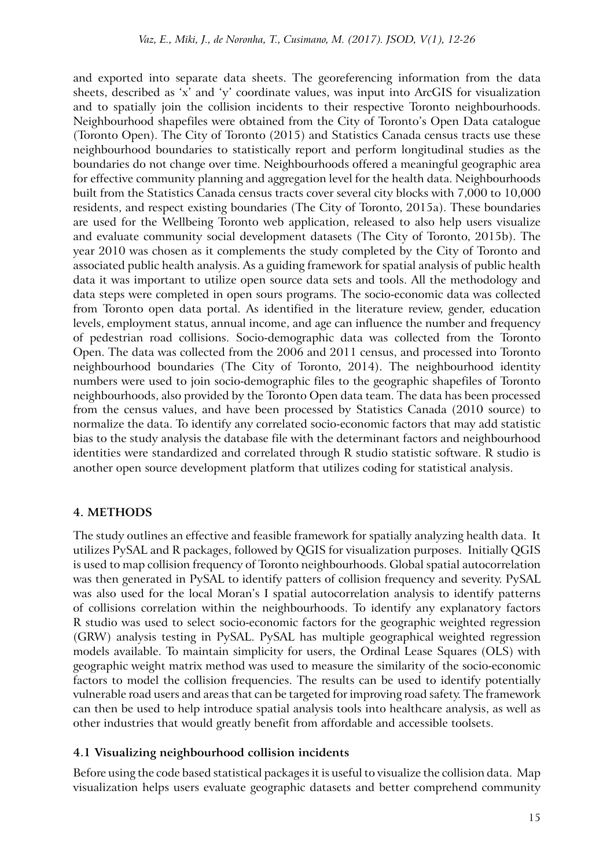and exported into separate data sheets. The georeferencing information from the data sheets, described as 'x' and 'y' coordinate values, was input into ArcGIS for visualization and to spatially join the collision incidents to their respective Toronto neighbourhoods. Neighbourhood shapefiles were obtained from the City of Toronto's Open Data catalogue (Toronto Open). The City of Toronto (2015) and Statistics Canada census tracts use these neighbourhood boundaries to statistically report and perform longitudinal studies as the boundaries do not change over time. Neighbourhoods offered a meaningful geographic area for effective community planning and aggregation level for the health data. Neighbourhoods built from the Statistics Canada census tracts cover several city blocks with 7,000 to 10,000 residents, and respect existing boundaries (The City of Toronto, 2015a). These boundaries are used for the Wellbeing Toronto web application, released to also help users visualize and evaluate community social development datasets (The City of Toronto, 2015b). The year 2010 was chosen as it complements the study completed by the City of Toronto and associated public health analysis. As a guiding framework for spatial analysis of public health data it was important to utilize open source data sets and tools. All the methodology and data steps were completed in open sours programs. The socio-economic data was collected from Toronto open data portal. As identified in the literature review, gender, education levels, employment status, annual income, and age can influence the number and frequency of pedestrian road collisions. Socio-demographic data was collected from the Toronto Open. The data was collected from the 2006 and 2011 census, and processed into Toronto neighbourhood boundaries (The City of Toronto, 2014). The neighbourhood identity numbers were used to join socio-demographic files to the geographic shapefiles of Toronto neighbourhoods, also provided by the Toronto Open data team. The data has been processed from the census values, and have been processed by Statistics Canada (2010 source) to normalize the data. To identify any correlated socio-economic factors that may add statistic bias to the study analysis the database file with the determinant factors and neighbourhood identities were standardized and correlated through R studio statistic software. R studio is another open source development platform that utilizes coding for statistical analysis.

# **4. Methods**

The study outlines an effective and feasible framework for spatially analyzing health data. It utilizes PySAL and R packages, followed by QGIS for visualization purposes. Initially QGIS is used to map collision frequency of Toronto neighbourhoods. Global spatial autocorrelation was then generated in PySAL to identify patters of collision frequency and severity. PySAL was also used for the local Moran's I spatial autocorrelation analysis to identify patterns of collisions correlation within the neighbourhoods. To identify any explanatory factors R studio was used to select socio-economic factors for the geographic weighted regression (GRW) analysis testing in PySAL. PySAL has multiple geographical weighted regression models available. To maintain simplicity for users, the Ordinal Lease Squares (OLS) with geographic weight matrix method was used to measure the similarity of the socio-economic factors to model the collision frequencies. The results can be used to identify potentially vulnerable road users and areas that can be targeted for improving road safety. The framework can then be used to help introduce spatial analysis tools into healthcare analysis, as well as other industries that would greatly benefit from affordable and accessible toolsets.

# **4.1 Visualizing neighbourhood collision incidents**

Before using the code based statistical packages it is useful to visualize the collision data. Map visualization helps users evaluate geographic datasets and better comprehend community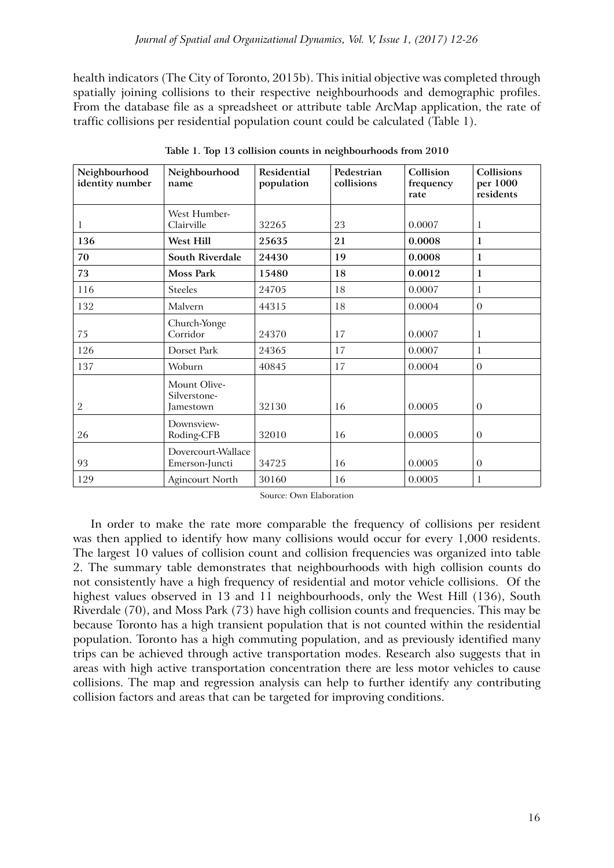health indicators (The City of Toronto, 2015b). This initial objective was completed through spatially joining collisions to their respective neighbourhoods and demographic profiles. From the database file as a spreadsheet or attribute table ArcMap application, the rate of traffic collisions per residential population count could be calculated (Table 1).

| Neighbourhood<br>identity number | Neighbourhood<br>name                     | Residential<br>population | Pedestrian<br>collisions | Collision<br>frequency<br>rate | <b>Collisions</b><br>per 1000<br>residents |
|----------------------------------|-------------------------------------------|---------------------------|--------------------------|--------------------------------|--------------------------------------------|
|                                  | West Humber-                              |                           |                          |                                |                                            |
| 1                                | Clairville                                | 32265                     | 23                       | 0.0007                         | 1                                          |
| 136                              | West Hill                                 | 25635                     | 21                       | 0.0008                         | $\mathbf{I}$                               |
| 70                               | South Riverdale                           | 24430                     | 19                       | 0.0008                         | 1                                          |
| 73                               | <b>Moss Park</b>                          | 15480                     | 18                       | 0.0012                         | 1                                          |
| 116                              | <b>Steeles</b>                            | 24705                     | 18                       | 0.0007                         | 1                                          |
| 132                              | Malvern                                   | 44315                     | 18                       | 0.0004                         | $\Omega$                                   |
| 75                               | Church-Yonge<br>Corridor                  | 24370                     | 17                       | 0.0007                         | 1                                          |
| 126                              | Dorset Park                               | 24365                     | 17                       | 0.0007                         | 1                                          |
| 137                              | Woburn                                    | 40845                     | 17                       | 0.0004                         | $\mathbf{0}$                               |
| $\overline{2}$                   | Mount Olive-<br>Silverstone-<br>Jamestown | 32130                     | 16                       | 0.0005                         | $\theta$                                   |
| 26                               | Downsview-<br>Roding-CFB                  | 32010                     | 16                       | 0.0005                         | $\mathbf{0}$                               |
| 93                               | Dovercourt-Wallace<br>Emerson-Juncti      | 34725                     | 16                       | 0.0005                         | $\mathbf{0}$                               |
| 129                              | <b>Agincourt North</b>                    | 30160                     | 16                       | 0.0005                         | 1                                          |

**Table 1. Top 13 collision counts in neighbourhoods from 2010**

Source: Own Elaboration

In order to make the rate more comparable the frequency of collisions per resident was then applied to identify how many collisions would occur for every 1,000 residents. The largest 10 values of collision count and collision frequencies was organized into table 2. The summary table demonstrates that neighbourhoods with high collision counts do not consistently have a high frequency of residential and motor vehicle collisions. Of the highest values observed in 13 and 11 neighbourhoods, only the West Hill (136), South Riverdale (70), and Moss Park (73) have high collision counts and frequencies. This may be because Toronto has a high transient population that is not counted within the residential population. Toronto has a high commuting population, and as previously identified many trips can be achieved through active transportation modes. Research also suggests that in areas with high active transportation concentration there are less motor vehicles to cause collisions. The map and regression analysis can help to further identify any contributing collision factors and areas that can be targeted for improving conditions.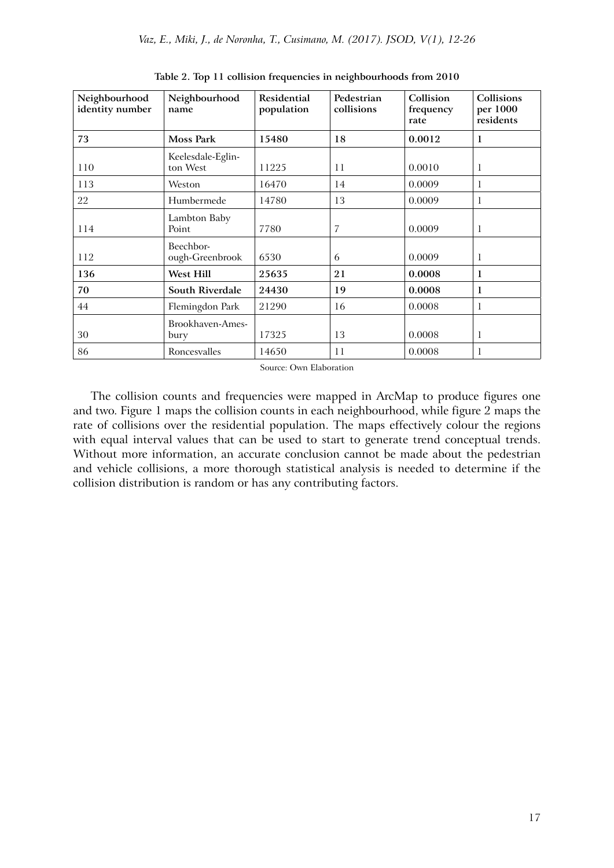| Neighbourhood<br>identity number | Neighbourhood<br>name         | Residential<br>population | Pedestrian<br>collisions | Collision<br>frequency<br>rate | Collisions<br>per 1000<br>residents |
|----------------------------------|-------------------------------|---------------------------|--------------------------|--------------------------------|-------------------------------------|
| 73                               | <b>Moss Park</b>              | 15480                     | 18                       | 0.0012                         | 1                                   |
| 110                              | Keelesdale-Eglin-<br>ton West | 11225                     | 11                       | 0.0010                         |                                     |
| 113                              | Weston                        | 16470                     | 14                       | 0.0009                         |                                     |
| 22                               | Humbermede                    | 14780                     | 13                       | 0.0009                         |                                     |
| 114                              | Lambton Baby<br>Point         | 7780                      | 7                        | 0.0009                         | 1                                   |
| 112                              | Beechbor-<br>ough-Greenbrook  | 6530                      | 6                        | 0.0009                         |                                     |
| 136                              | West Hill                     | 25635                     | 21                       | 0.0008                         | 1                                   |
| 70                               | South Riverdale               | 24430                     | 19                       | 0.0008                         | 1                                   |
| 44                               | Flemingdon Park               | 21290                     | 16                       | 0.0008                         |                                     |
| 30                               | Brookhaven-Ames-<br>bury      | 17325                     | 13                       | 0.0008                         |                                     |
| 86                               | Roncesvalles                  | 14650                     | 11                       | 0.0008                         | 1                                   |

**Table 2. Top 11 collision frequencies in neighbourhoods from 2010**

Source: Own Elaboration

The collision counts and frequencies were mapped in ArcMap to produce figures one and two. Figure 1 maps the collision counts in each neighbourhood, while figure 2 maps the rate of collisions over the residential population. The maps effectively colour the regions with equal interval values that can be used to start to generate trend conceptual trends. Without more information, an accurate conclusion cannot be made about the pedestrian and vehicle collisions, a more thorough statistical analysis is needed to determine if the collision distribution is random or has any contributing factors.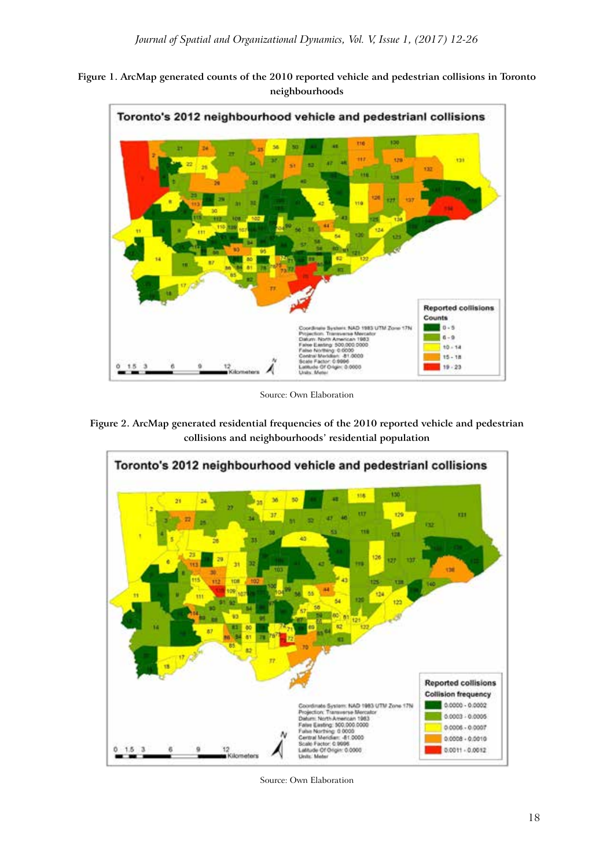**Figure 1. ArcMap generated counts of the 2010 reported vehicle and pedestrian collisions in Toronto neighbourhoods**



Source: Own Elaboration

**Figure 2. ArcMap generated residential frequencies of the 2010 reported vehicle and pedestrian collisions and neighbourhoods' residential population**



Source: Own Elaboration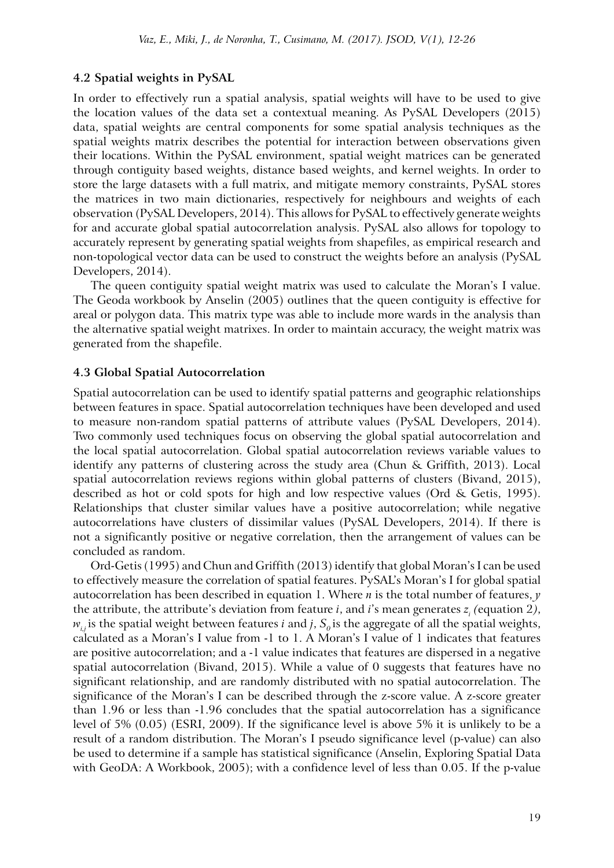#### **4.2 Spatial weights in PySAL**

In order to effectively run a spatial analysis, spatial weights will have to be used to give the location values of the data set a contextual meaning. As PySAL Developers (2015) data, spatial weights are central components for some spatial analysis techniques as the spatial weights matrix describes the potential for interaction between observations given their locations. Within the PySAL environment, spatial weight matrices can be generated through contiguity based weights, distance based weights, and kernel weights. In order to store the large datasets with a full matrix, and mitigate memory constraints, PySAL stores the matrices in two main dictionaries, respectively for neighbours and weights of each observation (PySAL Developers, 2014). This allows for PySAL to effectively generate weights for and accurate global spatial autocorrelation analysis. PySAL also allows for topology to accurately represent by generating spatial weights from shapefiles, as empirical research and non-topological vector data can be used to construct the weights before an analysis (PySAL Developers, 2014).

The queen contiguity spatial weight matrix was used to calculate the Moran's I value. The Geoda workbook by Anselin (2005) outlines that the queen contiguity is effective for areal or polygon data. This matrix type was able to include more wards in the analysis than the alternative spatial weight matrixes. In order to maintain accuracy, the weight matrix was generated from the shapefile.

#### **4.3 Global Spatial Autocorrelation**

Spatial autocorrelation can be used to identify spatial patterns and geographic relationships between features in space. Spatial autocorrelation techniques have been developed and used to measure non-random spatial patterns of attribute values (PySAL Developers, 2014). Two commonly used techniques focus on observing the global spatial autocorrelation and the local spatial autocorrelation. Global spatial autocorrelation reviews variable values to identify any patterns of clustering across the study area (Chun & Griffith, 2013). Local spatial autocorrelation reviews regions within global patterns of clusters (Bivand, 2015), described as hot or cold spots for high and low respective values (Ord & Getis, 1995). Relationships that cluster similar values have a positive autocorrelation; while negative autocorrelations have clusters of dissimilar values (PySAL Developers, 2014). If there is not a significantly positive or negative correlation, then the arrangement of values can be concluded as random.

Ord-Getis (1995) and Chun and Griffith (2013) identify that global Moran's I can be used to effectively measure the correlation of spatial features. PySAL's Moran's I for global spatial autocorrelation has been described in equation 1. Where *n* is the total number of features, *y* the attribute, the attribute's deviation from feature *i*, and *i*'s mean generates *zi (*equation 2*)*,  $w_{ij}$  is the spatial weight between features *i* and *j*,  $S_0$  is the aggregate of all the spatial weights, calculated as a Moran's I value from -1 to 1. A Moran's I value of 1 indicates that features are positive autocorrelation; and a -1 value indicates that features are dispersed in a negative spatial autocorrelation (Bivand, 2015). While a value of 0 suggests that features have no significant relationship, and are randomly distributed with no spatial autocorrelation. The significance of the Moran's I can be described through the z-score value. A z-score greater than 1.96 or less than -1.96 concludes that the spatial autocorrelation has a significance level of 5% (0.05) (ESRI, 2009). If the significance level is above 5% it is unlikely to be a result of a random distribution. The Moran's I pseudo significance level (p-value) can also be used to determine if a sample has statistical significance (Anselin, Exploring Spatial Data with GeoDA: A Workbook, 2005); with a confidence level of less than 0.05. If the p-value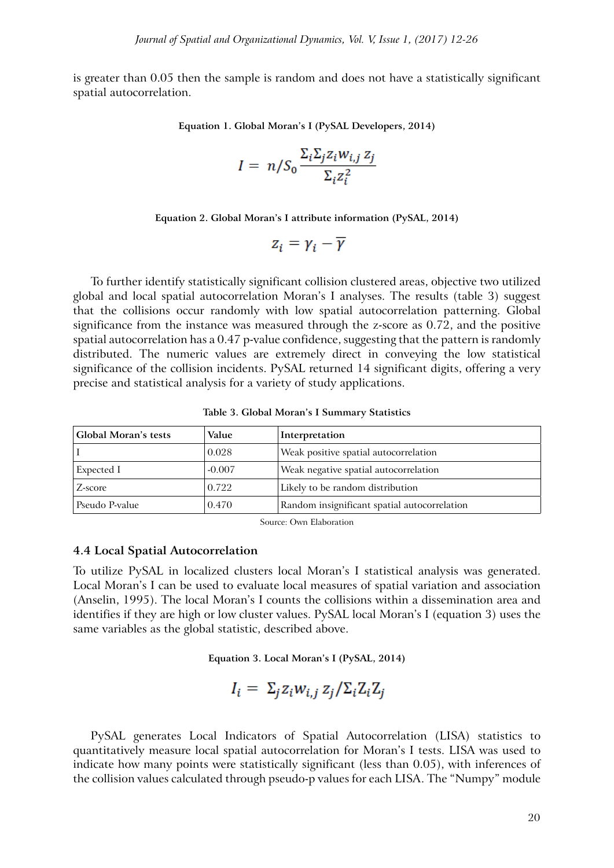is greater than 0.05 then the sample is random and does not have a statistically significant spatial autocorrelation.

**Equation 1. Global Moran's I (PySAL Developers, 2014)**

$$
I = n/S_0 \frac{\Sigma_i \Sigma_j z_i w_{i,j} z_j}{\Sigma_i z_i^2}
$$

**Equation 2. Global Moran's I attribute information (PySAL, 2014)**

$$
z_i = \gamma_i - \overline{\gamma}
$$

To further identify statistically significant collision clustered areas, objective two utilized global and local spatial autocorrelation Moran's I analyses. The results (table 3) suggest that the collisions occur randomly with low spatial autocorrelation patterning. Global significance from the instance was measured through the z-score as 0.72, and the positive spatial autocorrelation has a 0.47 p-value confidence, suggesting that the pattern is randomly distributed. The numeric values are extremely direct in conveying the low statistical significance of the collision incidents. PySAL returned 14 significant digits, offering a very precise and statistical analysis for a variety of study applications.

| <b>Global Moran's tests</b> | <b>Value</b> | Interpretation                               |
|-----------------------------|--------------|----------------------------------------------|
|                             | 0.028        | Weak positive spatial autocorrelation        |
| Expected I                  | $-0.007$     | Weak negative spatial autocorrelation        |
| Z-score                     | 0.722        | Likely to be random distribution             |
| Pseudo P-value              | 0.470        | Random insignificant spatial autocorrelation |

**Table 3. Global Moran's I Summary Statistics**

Source: Own Elaboration

#### **4.4 Local Spatial Autocorrelation**

To utilize PySAL in localized clusters local Moran's I statistical analysis was generated. Local Moran's I can be used to evaluate local measures of spatial variation and association (Anselin, 1995). The local Moran's I counts the collisions within a dissemination area and identifies if they are high or low cluster values. PySAL local Moran's I (equation 3) uses the same variables as the global statistic, described above.

**Equation 3. Local Moran's I (PySAL, 2014)**

$$
I_i = \sum_j z_i w_{i,j} z_j / \sum_i Z_i Z_j
$$

PySAL generates Local Indicators of Spatial Autocorrelation (LISA) statistics to quantitatively measure local spatial autocorrelation for Moran's I tests. LISA was used to indicate how many points were statistically significant (less than 0.05), with inferences of the collision values calculated through pseudo-p values for each LISA. The "Numpy" module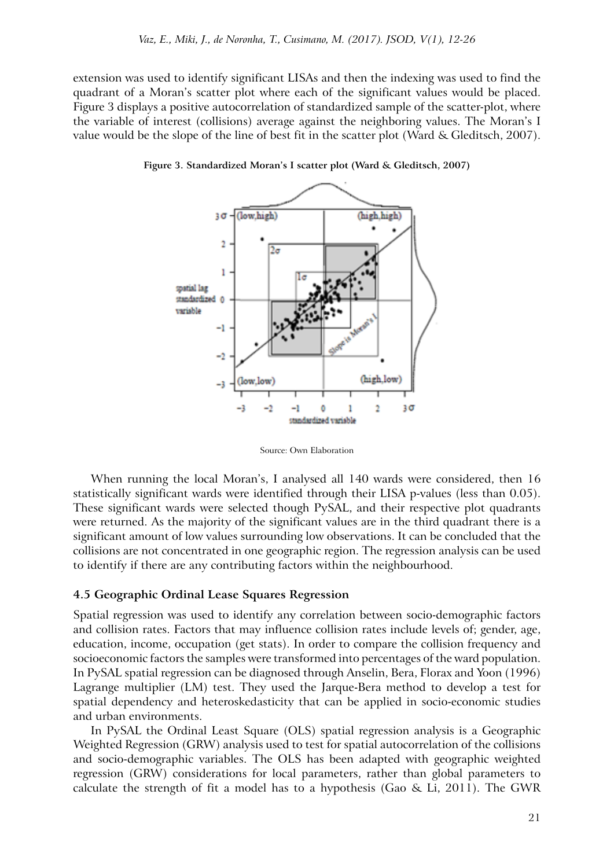extension was used to identify significant LISAs and then the indexing was used to find the quadrant of a Moran's scatter plot where each of the significant values would be placed. Figure 3 displays a positive autocorrelation of standardized sample of the scatter-plot, where the variable of interest (collisions) average against the neighboring values. The Moran's I value would be the slope of the line of best fit in the scatter plot (Ward & Gleditsch, 2007).



**Figure 3. Standardized Moran's I scatter plot (Ward & Gleditsch, 2007)**

Source: Own Elaboration

When running the local Moran's, I analysed all 140 wards were considered, then 16 statistically significant wards were identified through their LISA p-values (less than 0.05). These significant wards were selected though PySAL, and their respective plot quadrants were returned. As the majority of the significant values are in the third quadrant there is a significant amount of low values surrounding low observations. It can be concluded that the collisions are not concentrated in one geographic region. The regression analysis can be used to identify if there are any contributing factors within the neighbourhood.

### **4.5 Geographic Ordinal Lease Squares Regression**

Spatial regression was used to identify any correlation between socio-demographic factors and collision rates. Factors that may influence collision rates include levels of; gender, age, education, income, occupation (get stats). In order to compare the collision frequency and socioeconomic factors the samples were transformed into percentages of the ward population. In PySAL spatial regression can be diagnosed through Anselin, Bera, Florax and Yoon (1996) Lagrange multiplier (LM) test. They used the Jarque-Bera method to develop a test for spatial dependency and heteroskedasticity that can be applied in socio-economic studies and urban environments.

In PySAL the Ordinal Least Square (OLS) spatial regression analysis is a Geographic Weighted Regression (GRW) analysis used to test for spatial autocorrelation of the collisions and socio-demographic variables. The OLS has been adapted with geographic weighted regression (GRW) considerations for local parameters, rather than global parameters to calculate the strength of fit a model has to a hypothesis (Gao & Li, 2011). The GWR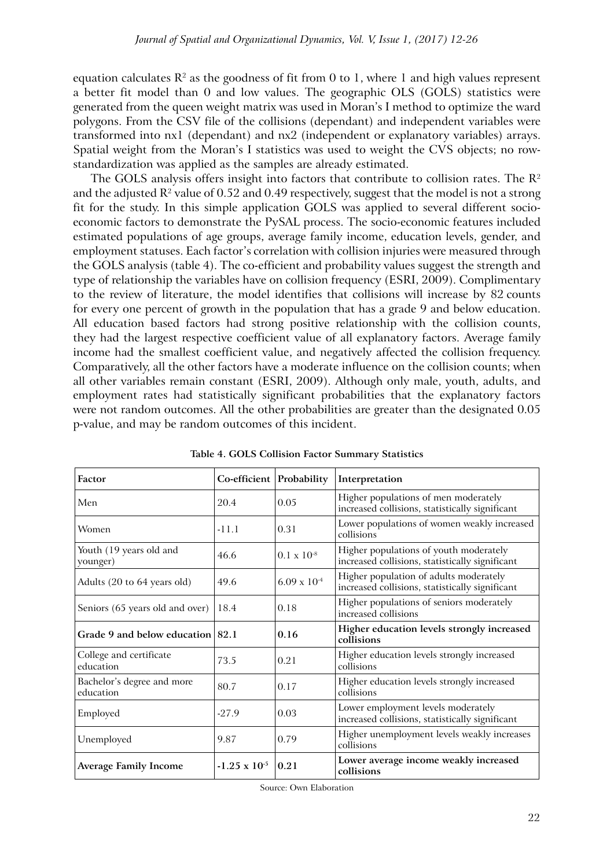equation calculates  $\mathbb{R}^2$  as the goodness of fit from 0 to 1, where 1 and high values represent a better fit model than 0 and low values. The geographic OLS (GOLS) statistics were generated from the queen weight matrix was used in Moran's I method to optimize the ward polygons. From the CSV file of the collisions (dependant) and independent variables were transformed into nx1 (dependant) and nx2 (independent or explanatory variables) arrays. Spatial weight from the Moran's I statistics was used to weight the CVS objects; no rowstandardization was applied as the samples are already estimated.

The GOLS analysis offers insight into factors that contribute to collision rates. The  $\mathbb{R}^2$ and the adjusted  $\mathbb{R}^2$  value of 0.52 and 0.49 respectively, suggest that the model is not a strong fit for the study. In this simple application GOLS was applied to several different socioeconomic factors to demonstrate the PySAL process. The socio-economic features included estimated populations of age groups, average family income, education levels, gender, and employment statuses. Each factor's correlation with collision injuries were measured through the GOLS analysis (table 4). The co-efficient and probability values suggest the strength and type of relationship the variables have on collision frequency (ESRI, 2009). Complimentary to the review of literature, the model identifies that collisions will increase by 82 counts for every one percent of growth in the population that has a grade 9 and below education. All education based factors had strong positive relationship with the collision counts, they had the largest respective coefficient value of all explanatory factors. Average family income had the smallest coefficient value, and negatively affected the collision frequency. Comparatively, all the other factors have a moderate influence on the collision counts; when all other variables remain constant (ESRI, 2009). Although only male, youth, adults, and employment rates had statistically significant probabilities that the explanatory factors were not random outcomes. All the other probabilities are greater than the designated 0.05 p-value, and may be random outcomes of this incident.

| Factor                                  | $Co$ -efficient $ $    | Probability           | Interpretation                                                                            |  |
|-----------------------------------------|------------------------|-----------------------|-------------------------------------------------------------------------------------------|--|
| Men                                     | 20.4                   | 0.05                  | Higher populations of men moderately<br>increased collisions, statistically significant   |  |
| Women                                   | -11.1                  | 0.31                  | Lower populations of women weakly increased<br>collisions                                 |  |
| Youth (19 years old and<br>younger)     | 46.6                   | $0.1 \times 10^{-8}$  | Higher populations of youth moderately<br>increased collisions, statistically significant |  |
| Adults (20 to 64 years old)             | 49.6                   | $6.09 \times 10^{-4}$ | Higher population of adults moderately<br>increased collisions, statistically significant |  |
| Seniors (65 years old and over)         | 18.4                   | 0.18                  | Higher populations of seniors moderately<br>increased collisions                          |  |
| Grade 9 and below education 82.1        |                        | 0.16                  | Higher education levels strongly increased<br>collisions                                  |  |
| College and certificate<br>education    | 73.5                   | 0.21                  | Higher education levels strongly increased<br>collisions                                  |  |
| Bachelor's degree and more<br>education | 80.7                   | 0.17                  | Higher education levels strongly increased<br>collisions                                  |  |
| Employed                                | $-27.9$                | 0.03                  | Lower employment levels moderately<br>increased collisions, statistically significant     |  |
| Unemployed                              | 9.87                   | 0.79                  | Higher unemployment levels weakly increases<br>collisions                                 |  |
| <b>Average Family Income</b>            | $-1.25 \times 10^{-5}$ | 0.21                  | Lower average income weakly increased<br>collisions                                       |  |

**Table 4. GOLS Collision Factor Summary Statistics**

Source: Own Elaboration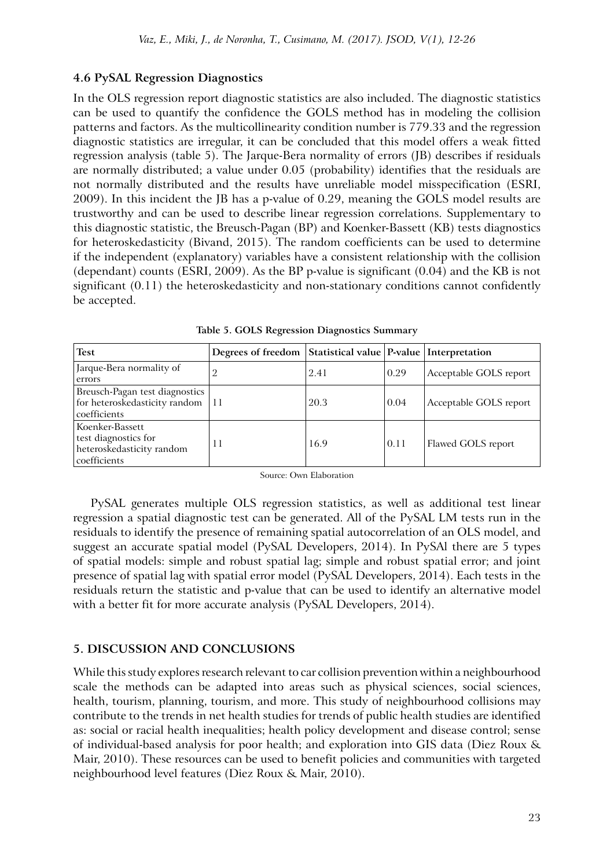## **4.6 PySAL Regression Diagnostics**

In the OLS regression report diagnostic statistics are also included. The diagnostic statistics can be used to quantify the confidence the GOLS method has in modeling the collision patterns and factors. As the multicollinearity condition number is 779.33 and the regression diagnostic statistics are irregular, it can be concluded that this model offers a weak fitted regression analysis (table 5). The Jarque-Bera normality of errors (JB) describes if residuals are normally distributed; a value under 0.05 (probability) identifies that the residuals are not normally distributed and the results have unreliable model misspecification (ESRI, 2009). In this incident the JB has a p-value of 0.29, meaning the GOLS model results are trustworthy and can be used to describe linear regression correlations. Supplementary to this diagnostic statistic, the Breusch-Pagan (BP) and Koenker-Bassett (KB) tests diagnostics for heteroskedasticity (Bivand, 2015). The random coefficients can be used to determine if the independent (explanatory) variables have a consistent relationship with the collision (dependant) counts (ESRI, 2009). As the BP p-value is significant (0.04) and the KB is not significant (0.11) the heteroskedasticity and non-stationary conditions cannot confidently be accepted.

| Test                                                                                 | Degrees of freedom   Statistical value   P-value   Interpretation |      |      |                        |
|--------------------------------------------------------------------------------------|-------------------------------------------------------------------|------|------|------------------------|
| Jarque-Bera normality of<br>errors                                                   | 2                                                                 | 2.41 | 0.29 | Acceptable GOLS report |
| Breusch-Pagan test diagnostics<br>for heteroskedasticity random<br>coefficients      |                                                                   | 20.3 | 0.04 | Acceptable GOLS report |
| Koenker-Bassett<br>test diagnostics for<br>heteroskedasticity random<br>coefficients | ΙI                                                                | 16.9 | 0.11 | Flawed GOLS report     |

**Table 5. GOLS Regression Diagnostics Summary**

Source: Own Elaboration

PySAL generates multiple OLS regression statistics, as well as additional test linear regression a spatial diagnostic test can be generated. All of the PySAL LM tests run in the residuals to identify the presence of remaining spatial autocorrelation of an OLS model, and suggest an accurate spatial model (PySAL Developers, 2014). In PySAl there are 5 types of spatial models: simple and robust spatial lag; simple and robust spatial error; and joint presence of spatial lag with spatial error model (PySAL Developers, 2014). Each tests in the residuals return the statistic and p-value that can be used to identify an alternative model with a better fit for more accurate analysis (PySAL Developers, 2014).

# **5. Discussion and conclusions**

While this study explores research relevant to car collision prevention within a neighbourhood scale the methods can be adapted into areas such as physical sciences, social sciences, health, tourism, planning, tourism, and more. This study of neighbourhood collisions may contribute to the trends in net health studies for trends of public health studies are identified as: social or racial health inequalities; health policy development and disease control; sense of individual-based analysis for poor health; and exploration into GIS data (Diez Roux & Mair, 2010). These resources can be used to benefit policies and communities with targeted neighbourhood level features (Diez Roux & Mair, 2010).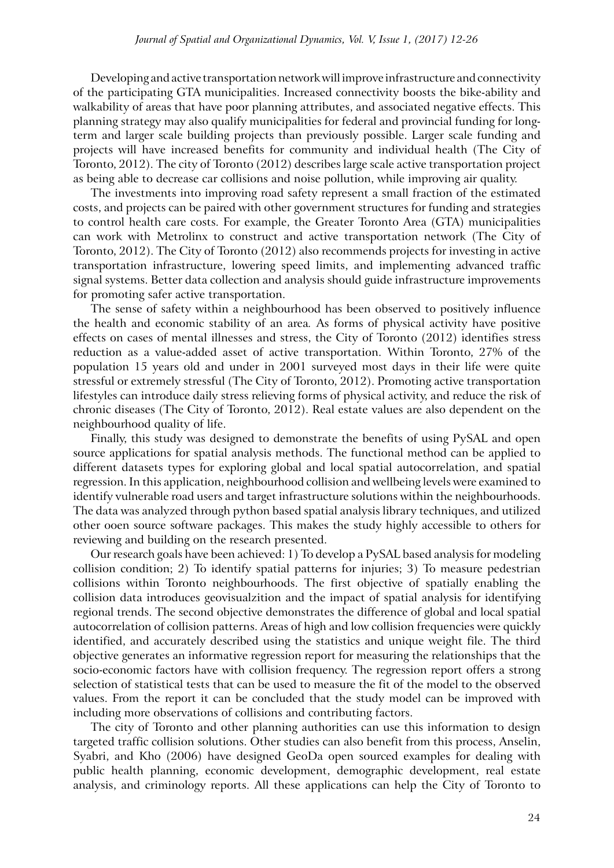Developing and active transportation network will improve infrastructure and connectivity of the participating GTA municipalities. Increased connectivity boosts the bike-ability and walkability of areas that have poor planning attributes, and associated negative effects. This planning strategy may also qualify municipalities for federal and provincial funding for longterm and larger scale building projects than previously possible. Larger scale funding and projects will have increased benefits for community and individual health (The City of Toronto, 2012). The city of Toronto (2012) describes large scale active transportation project as being able to decrease car collisions and noise pollution, while improving air quality.

The investments into improving road safety represent a small fraction of the estimated costs, and projects can be paired with other government structures for funding and strategies to control health care costs. For example, the Greater Toronto Area (GTA) municipalities can work with Metrolinx to construct and active transportation network (The City of Toronto, 2012). The City of Toronto (2012) also recommends projects for investing in active transportation infrastructure, lowering speed limits, and implementing advanced traffic signal systems. Better data collection and analysis should guide infrastructure improvements for promoting safer active transportation.

The sense of safety within a neighbourhood has been observed to positively influence the health and economic stability of an area*.* As forms of physical activity have positive effects on cases of mental illnesses and stress, the City of Toronto (2012) identifies stress reduction as a value-added asset of active transportation. Within Toronto, 27% of the population 15 years old and under in 2001 surveyed most days in their life were quite stressful or extremely stressful (The City of Toronto, 2012). Promoting active transportation lifestyles can introduce daily stress relieving forms of physical activity, and reduce the risk of chronic diseases (The City of Toronto, 2012). Real estate values are also dependent on the neighbourhood quality of life.

Finally, this study was designed to demonstrate the benefits of using PySAL and open source applications for spatial analysis methods. The functional method can be applied to different datasets types for exploring global and local spatial autocorrelation, and spatial regression. In this application, neighbourhood collision and wellbeing levels were examined to identify vulnerable road users and target infrastructure solutions within the neighbourhoods. The data was analyzed through python based spatial analysis library techniques, and utilized other ooen source software packages. This makes the study highly accessible to others for reviewing and building on the research presented.

Our research goals have been achieved: 1) To develop a PySAL based analysis for modeling collision condition; 2) To identify spatial patterns for injuries; 3) To measure pedestrian collisions within Toronto neighbourhoods. The first objective of spatially enabling the collision data introduces geovisualzition and the impact of spatial analysis for identifying regional trends. The second objective demonstrates the difference of global and local spatial autocorrelation of collision patterns. Areas of high and low collision frequencies were quickly identified, and accurately described using the statistics and unique weight file. The third objective generates an informative regression report for measuring the relationships that the socio-economic factors have with collision frequency. The regression report offers a strong selection of statistical tests that can be used to measure the fit of the model to the observed values. From the report it can be concluded that the study model can be improved with including more observations of collisions and contributing factors.

The city of Toronto and other planning authorities can use this information to design targeted traffic collision solutions. Other studies can also benefit from this process, Anselin, Syabri, and Kho (2006) have designed GeoDa open sourced examples for dealing with public health planning, economic development, demographic development, real estate analysis, and criminology reports. All these applications can help the City of Toronto to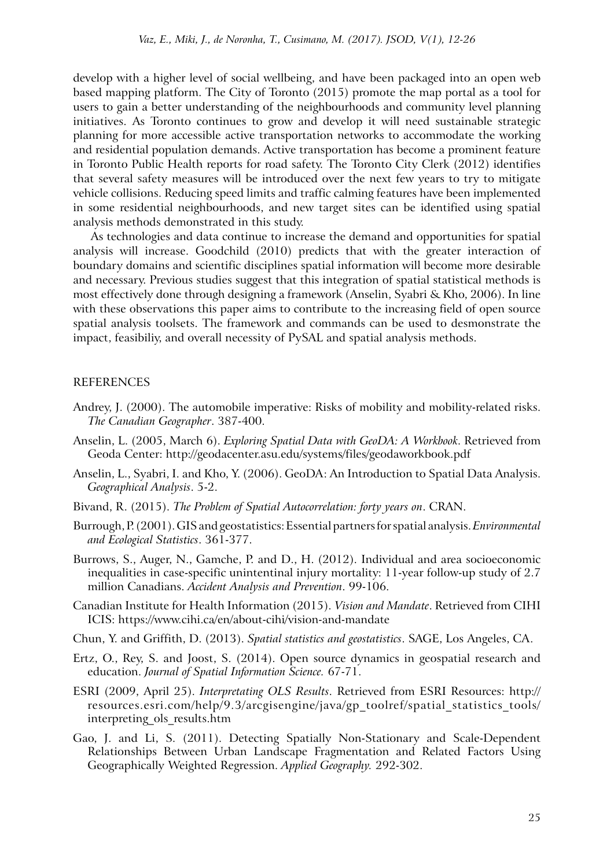develop with a higher level of social wellbeing, and have been packaged into an open web based mapping platform. The City of Toronto (2015) promote the map portal as a tool for users to gain a better understanding of the neighbourhoods and community level planning initiatives. As Toronto continues to grow and develop it will need sustainable strategic planning for more accessible active transportation networks to accommodate the working and residential population demands. Active transportation has become a prominent feature in Toronto Public Health reports for road safety. The Toronto City Clerk (2012) identifies that several safety measures will be introduced over the next few years to try to mitigate vehicle collisions. Reducing speed limits and traffic calming features have been implemented in some residential neighbourhoods, and new target sites can be identified using spatial analysis methods demonstrated in this study.

As technologies and data continue to increase the demand and opportunities for spatial analysis will increase. Goodchild (2010) predicts that with the greater interaction of boundary domains and scientific disciplines spatial information will become more desirable and necessary. Previous studies suggest that this integration of spatial statistical methods is most effectively done through designing a framework (Anselin, Syabri & Kho, 2006). In line with these observations this paper aims to contribute to the increasing field of open source spatial analysis toolsets. The framework and commands can be used to desmonstrate the impact, feasibiliy, and overall necessity of PySAL and spatial analysis methods.

#### **REFERENCES**

- Andrey, J. (2000). The automobile imperative: Risks of mobility and mobility-related risks. *The Canadian Geographer*. 387-400.
- Anselin, L. (2005, March 6). *Exploring Spatial Data with GeoDA: A Workbook*. Retrieved from Geoda Center: http://geodacenter.asu.edu/systems/files/geodaworkbook.pdf
- Anselin, L., Syabri, I. and Kho, Y. (2006). GeoDA: An Introduction to Spatial Data Analysis. *Geographical Analysis*. 5-2.
- Bivand, R. (2015). *The Problem of Spatial Autocorrelation: forty years on*. CRAN.
- Burrough, P. (2001). GIS and geostatistics: Essential partners for spatial analysis. *Environmental and Ecological Statistics*. 361-377.
- Burrows, S., Auger, N., Gamche, P. and D., H. (2012). Individual and area socioeconomic inequalities in case-specific unintentinal injury mortality: 11-year follow-up study of 2.7 million Canadians. *Accident Analysis and Prevention*. 99-106.
- Canadian Institute for Health Information (2015). *Vision and Mandate*. Retrieved from CIHI ICIS: https://www.cihi.ca/en/about-cihi/vision-and-mandate
- Chun, Y. and Griffith, D. (2013). *Spatial statistics and geostatistics*. SAGE, Los Angeles, CA.
- Ertz, O., Rey, S. and Joost, S. (2014). Open source dynamics in geospatial research and education. *Journal of Spatial Information Science.* 67-71.
- ESRI (2009, April 25). *Interpretating OLS Results*. Retrieved from ESRI Resources: http:// resources.esri.com/help/9.3/arcgisengine/java/gp\_toolref/spatial\_statistics\_tools/ interpreting\_ols\_results.htm
- Gao, J. and Li, S. (2011). Detecting Spatially Non-Stationary and Scale-Dependent Relationships Between Urban Landscape Fragmentation and Related Factors Using Geographically Weighted Regression. *Applied Geography.* 292-302.